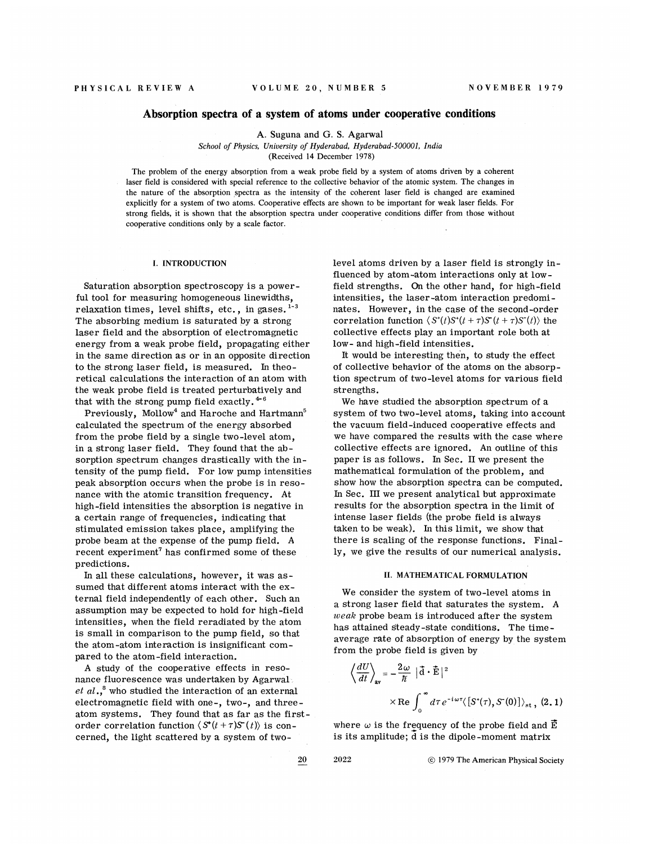## Absorption spectra of a system of atoms under cooperative conditions

A. Suguna and G. S. Agarwal

School of Physics, University of Hyderabad, Hyderabad-50000I, India (Received 14 December 1978)

The problem of the energy absorption from a weak probe field by a system of atoms driven by a coherent laser field is considered with special reference to the collective behavior of the atomic system. The changes in the nature of the absorption spectra as the intensity of the coherent laser field is changed are examined explicitly for a system of two atoms. Cooperative effects are shown to be important for weak laser fields. For strong fields, it is shown that the absorption spectra under cooperative conditions differ from those without cooperative conditions only by a scale factor.

## I, INTRODUCTION

Saturation absorption spectroscopy is a powerful tool for measuring homogeneous linewidths, relaxation times, level shifts, etc., in gases.<sup>1-3</sup> The absorbing medium is saturated by a strong laser field and the absorption of electromagnetic energy from a weak probe field, propagating either in the same direction as or in an opposite direction to the strong laser field, is measured. In theoretical calculations the interaction of an atom with the weak probe field is treated perturbatively and that with the strong pump field exactly.  $4-6$ 

Previously, Mollow<sup>4</sup> and Haroche and Hartmann<sup>5</sup> calculated the spectrum of the energy absorbed from the probe field by a single two-level atom, in a strong laser field. They found that the absorption spectrum changes drastically with the intensity of the pump field. For low pump intensities peak absorption occurs when the probe is in resonance with the atomic transition frequency. At high-field intensities the absorption is negative in a certain range of frequencies, indicating that stimulated emission takes place, amplifying the probe beam at the expense of the pump field. A recent experiment' has confirmed some of these predictions.

In all these calculations, however, it was assumed that different atoms interact with the external field independently of each other. Such an assumption may be expected to hold for high-field intensities, when the field reradiated by the atom is small in comparison to the pump field, so that the atom-atom interaction is insignificant compared to the atom-field interaction.

<sup>A</sup> study of the cooperative effects in resonance fluorescence was undertaken by Agarwal *et al*.,<sup>8</sup> who studied the interaction of an externa electromagnetic field with one-, two-, and threeatom systems. They found that as far as the firstorder correlation function  $\langle S^*(t+\tau)S^*(t)\rangle$  is concerned, the light scattered by a system of two-

level atoms driven by a laser field is strongly influenced by atom-atom interactions only at lowfield strengths. On the other hand, for high-field intensities, the laser-atom interaction predominates. However, in the case of the second-order correlation function  $\langle S^*(t)S^*(t+\tau)S(t+\tau)S^*(t)\rangle$  the collective effects play an important role both at low- and high-field intensities.

It would be interesting then, to study the effect of collective behavior of the atoms on the absorption spectrum of two-level atoms for various field strengths.

We have studied the absorption spectrum of a system of two two-level atoms, taking into account the vacuum field-induced cooperative effects and we have compared the results with the case where collective effects are ignored. An outline of this paper is as follows. In Sec. II we present the mathematical formulation of the problem, and show how the absorption spectra can be computed. In Sec. III we present analytical but approximate results for the absorption spectra in the limit of intense laser fields (the probe field is always taken to be weak). In this limit, we show that there is scaling of the response functions. Finally, we give the results of our numerical analysis.

## II. MATHEMATICAL FORMULATION

We consider the system of two-level atoms in a strong laser field that saturates the system. <sup>A</sup>  $weak$  probe beam is introduced after the system has attained steady-state conditions. The timeaverage rate of absorption of energy by the system from the probe field is given by

$$
\left\langle \frac{dU}{dt} \right\rangle_{\text{av}} = -\frac{2\omega}{\hbar} |\vec{d} \cdot \vec{E}|^2
$$
  
× Re  $\int_0^\infty d\tau e^{-i\omega\tau} \langle [S^*(\tau), S^*(0)] \rangle_{\text{st}}$ , (2.1)

where  $\omega$  is the frequency of the probe field and  $\vec{E}$ is its amplitude; d is the dipole-moment matrix

20 2022 C 1979 The American Physical Society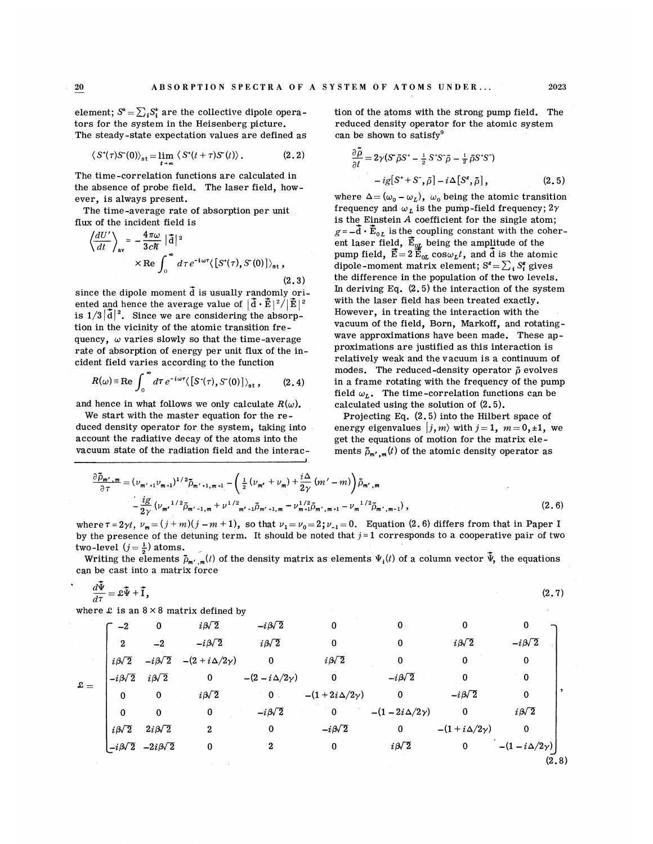${\bf 20}$ 

element;  $S^* = \sum_i S_i^*$  are the collective dipole operators for the system in the Heisenberg picture. The steady-state expectation values are defined as

$$
\langle S^*(\tau)S^*(0)\rangle_{\text{st}} = \lim_{t\to\infty} \langle S^*(t+\tau)S^*(t)\rangle. \tag{2.2}
$$

The time-correlation functions are calculated in the absence of probe field. The laser field, however, is always present.

The time-average rate of absorption per unit flux of the incident field is

$$
\left\langle \frac{dU'}{dt} \right\rangle_{\text{av}} = -\frac{4\pi\omega}{3c\hbar} |\vec{a}|^2
$$
  
× Re  $\int_0^\infty d\tau e^{-i\omega\tau} \langle [S^*(\tau), S^*(0)] \rangle_{\text{st}}$ , (2.3)

since the dipole moment  $\tilde{d}$  is usually randomly oriented and hence the average value of  $|\tilde{\textbf{d}} \cdot \tilde{\textbf{E}}|^2/2$ is  $1/3|\tilde{d}|^2$ . Since we are considering the absorp tion in the vicinity of the atomic transition frequency,  $\omega$  varies slowly so that the time-average rate of absorption of energy per unit flux of the incident field varies according to the function

$$
R(\omega) \equiv \text{Re} \int_0^{\infty} d\tau \, e^{-i\omega\tau} \langle [S^*(\tau), S^*(0)] \rangle_{\text{st}} , \qquad (2.4)
$$

and hence in what follows we only calculate  $R(\omega)$ .

We start with the master equation for the reduced density operator for the system, taking into account the radiative decay of the atoms into the vacuum state of the radiation field and the interaction of the atoms with the strong pump field. The reduced density operator for the atomic system can be shown to satisfy'

(2.2) 
$$
\frac{\partial \tilde{\rho}}{\partial t} = 2\gamma (S \tilde{\rho} S^* - \frac{1}{2} S^* S^* \tilde{\rho} - \frac{1}{2} \tilde{\rho} S^* S^*)
$$

$$
- ig[S^* + S^*, \tilde{\rho}] - i \Delta [S^*, \tilde{\rho}], \qquad (2.5)
$$

where  $\Delta = (\omega_0 - \omega_L)$ ,  $\omega_0$  being the atomic transition frequency and  $\omega_L$  is the pump-field frequency;  $2\gamma$ is the Einstein  $A$  coefficient for the single atom;  $g=-\vec{d}\cdot\vec{E}_{0L}$  is the coupling constant with the coherent laser field,  $\vec{\mathrm{E}}_{\textup{o} \bm{L}}$  being the amplitude of the pump field,  $\vec{E}=2\,\vec{E}_{0L}$  cos $\omega_L t$ , and  $\vec{d}$  is the atomic dipole-moment matrix element;  $S^z = \sum_i S_i^z$  gives the difference in the population of the two levels. In deriving Eq.  $(2.5)$  the interaction of the system with the laser field has been treated exactly. However, in treating the interaction with the vacuum of the field, Born, Markoff, and rotatingwave approximations have been made. These approximations are justified as this interaction is relatively weak and the vacuum is a continuum of modes. The reduced-density operator  $\tilde{\rho}$  evolves in a frame rotating with the frequency of the pump field  $\omega_L$ . The time-correlation functions can be calculated using the solution of (2.5).

Projecting Eq. (2. 5) into the Hilbert space of energy eigenvalues  $|j, m\rangle$  with  $j = 1, m = 0, \pm 1$ , we get the equations of motion for the matrix elements  $\tilde{\rho}_{m',m}(t)$  of the atomic density operator as

$$
\frac{\partial \tilde{D}_{m',m}}{\partial \tau} = (\nu_{m'+1} \nu_{m+1})^{1/2} \tilde{D}_{m'+1,m+1} - \left(\frac{1}{2} (\nu_{m'} + \nu_m) + \frac{i \Delta}{2 \gamma} (m' - m) \right) \tilde{D}_{m',m} \n- \frac{i g}{2 \gamma} (\nu_{m'}^{1/2} \tilde{D}_{m'-1,m} + \nu^{1/2}_{m'+1} \tilde{D}_{m'+1,m} - \nu_{m+1}^{1/2} \tilde{D}_{m',m+1} - \nu_{m}^{1/2} \tilde{D}_{m',m-1}),
$$
\n(2.6)

where  $\tau = 2\gamma t$ ,  $\nu_m = (j+m)(j-m+1)$ , so that  $\nu_1 = \nu_0 = 2$ ;  $\nu_{-1} = 0$ . Equation (2.6) differs from that in Paper I by the presence of the detuning term. It should be noted that  $j=1$  corresponds to a cooperative pair of two by the presence of the  $\frac{1}{2}$ 

Writing the elements  $\tilde{\rho}_{m',m}(t)$  of the density matrix as elements  $\Psi_i(t)$  of a column vector  $\tilde{\Psi}$ , the equations can be cast into a matrix force

$$
\frac{d\tilde{\Psi}}{d\tau} = \mathcal{L}\tilde{\Psi} + \tilde{\mathbf{I}},\tag{2.7}
$$

where  $\mathfrak L$  is an  $8 \times 8$  matrix defined by

|                  | $-2$              | 0                                    | $i\beta\sqrt{2}$       | $-i\beta\sqrt{2}$          | 0                       | $\mathbf{0}$            | 0                      | 0                        |
|------------------|-------------------|--------------------------------------|------------------------|----------------------------|-------------------------|-------------------------|------------------------|--------------------------|
|                  | $\mathbf{2}$      | $-2$                                 | $-i\beta\sqrt{2}$      | $i\beta\sqrt{2}$           | $\mathbf 0$             | 0                       | $i\beta\sqrt{2}$       | $-i\sqrt{2}$             |
| $\mathfrak{L} =$ | $i\sqrt{2}$       | $-i\beta\sqrt{2}$                    | $-(2+i\Delta/2\gamma)$ | $\Omega$                   | $i\beta\sqrt{2}$        | 0                       | $\mathbf 0$            | 0                        |
|                  | $-i\beta\sqrt{2}$ | $i\sqrt{2}$                          | $\bf{0}$               | $-(2 - i \Delta/2 \gamma)$ | $\mathbf 0$             | $-i\sqrt{2}$            | $\bf{0}$               | 0                        |
|                  | $\bf{0}$          | $\mathbf 0$                          | $i\beta\sqrt{2}$       | $\mathbf{0}$ .             | $-(1+2i\Delta/2\gamma)$ | $\bf{0}$                | $-i\beta\sqrt{2}$      | 0                        |
|                  | $\bf{0}$          | $\bf{0}$                             | $\mathbf 0$            | $-i\beta\sqrt{2}$          | $\mathbf 0$             | $-(1-2i\Delta/2\gamma)$ | $\mathbf{0}$           | $i\beta\sqrt{2}$         |
|                  | $i\beta\sqrt{2}$  | $2i\beta\sqrt{2}$                    | 2                      | $\mathbf 0$                | $-i\beta\sqrt{2}$       | $\mathbf 0$             | $-(1+i\Delta/2\gamma)$ | 0                        |
|                  |                   | $-i\beta\sqrt{2}$ $-2i\beta\sqrt{2}$ | 0                      | $\mathbf{2}$               | $\bf{0}$                | $i\beta\sqrt{2}$        | $\mathbf 0$            | $-(1 - i\Delta/2\gamma)$ |
|                  |                   |                                      |                        |                            |                         |                         |                        | (2.8)                    |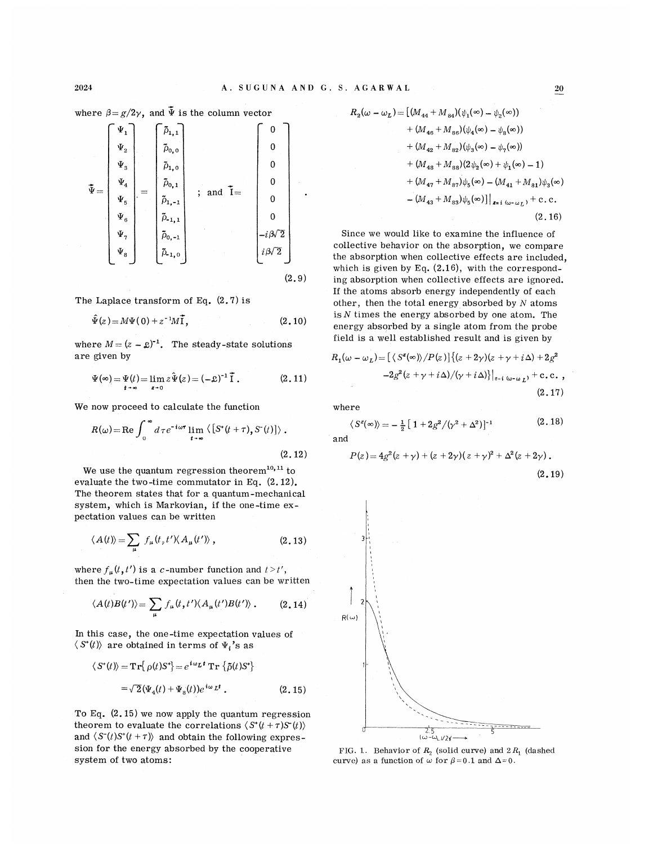where  $\beta = g/2\gamma$ , and  $\bar{\Psi}$  is the column vector

$$
\mathbf{\tilde{\Psi}} = \begin{bmatrix} \Psi_1 \\ \Psi_2 \\ \Psi_3 \\ \Psi_4 \\ \Psi_5 \\ \Psi_6 \\ \Psi_7 \\ \Psi_8 \\ \Psi_8 \\ \Psi_9 \\ \Psi_9 \\ \Phi_1 \\ \Phi_2 \\ \Phi_3 \end{bmatrix} = \begin{bmatrix} \tilde{\rho}_{1,1} \\ \tilde{\rho}_{0,0} \\ \tilde{\rho}_{0,1} \\ \tilde{\rho}_{1,-1} \\ \tilde{\rho}_{1,-1} \\ \tilde{\rho}_{0,-1} \\ \tilde{\rho}_{0,-1} \\ \tilde{\rho}_{-1,0} \\ \end{bmatrix} ; \text{ and } \mathbf{\tilde{I}} = \begin{bmatrix} 0 \\ 0 \\ 0 \\ 0 \\ 0 \\ 0 \\ -i\beta\sqrt{2} \\ i\beta\sqrt{2} \\ \end{bmatrix} .
$$

The Laplace transform of Eq.  $(2.7)$  is

$$
\hat{\Psi}(z) = M\Psi(0) + z^{-1}M\tilde{\mathbf{I}},\tag{2.10}
$$

where  $M = (z - \mathfrak{L})^{-1}$ . The steady-state solutions are given by

$$
\Psi(\infty) = \Psi(t) = \lim_{t \to \infty} z \hat{\Psi}(z) = (-\mathfrak{L})^{-1} \tilde{\mathbf{I}}.
$$
 (2.11)

We now proceed to calculate the function

$$
R(\omega) = \text{Re} \int_0^{\infty} d\tau e^{-i\omega \tau} \lim_{t \to \infty} \left\langle \left[ S^*(t+\tau), S^*(t) \right] \right\rangle.
$$
\n(2.12)

We use the quantum regression theorem<sup>10,11</sup> to evaluate the two-time commutator in Eq. (2. 12). The theorem states that for a quantum-mechanical system, which is Markovian, if the one -time expectation values can be written

$$
\langle A(t) \rangle = \sum_{\mu} f_{\mu}(t, t') \langle A_{\mu}(t') \rangle, \qquad (2.13)
$$

where  $f_{\mu}(t,t')$  is a c-number function and  $t > t'$ , then the two-time expectation values can be written

$$
\langle A(t)B(t')\rangle = \sum_{\mu} f_{\mu}(t,t')\langle A_{\mu}(t')B(t')\rangle \,.
$$
 (2.14)

In this case, the one-time expectation values of  $\langle S^*(t) \rangle$  are obtained in terms of  $\Psi_i$ 's as

$$
\langle S^*(t) \rangle = \mathbf{Tr} \{ \rho(t) S^* \} = e^{i\omega_L t} \mathbf{Tr} \{ \tilde{\rho}(t) S^* \}
$$

$$
= \sqrt{2} (\Psi_4(t) + \Psi_8(t)) e^{i\omega_L t} . \tag{2.15}
$$

To Eq. (2. 15) we now apply the quantum regression theorem to evaluate the correlations  $\langle S^*(t+\tau)S^*(t) \rangle$ and  $\langle S'(t)S'(t+\tau) \rangle$  and obtain the following expression for the energy absorbed by the cooperative system of two atoms:

$$
R_2(\omega - \omega_L) = \left[ (M_{44} + M_{84})(\psi_1(\infty) - \psi_2(\infty)) + (M_{46} + M_{86})(\psi_4(\infty) - \psi_8(\infty)) + (M_{42} + M_{82})(\psi_3(\infty) - \psi_7(\infty)) + (M_{43} + M_{83})(2\psi_2(\infty) + \psi_1(\infty) - 1) + (M_{47} + M_{87})\psi_5(\infty) - (M_{41} + M_{81})\psi_3(\infty) - (M_{43} + M_{83})\psi_5(\infty)) \right]_{z=i} \omega - \omega_L, + c.c.
$$
\n(2.16)

Since we would like to examine the influence of collective behavior on the absorption, we compare the absorption when collective effects are included, which is given by Eq.  $(2.16)$ , with the corresponding absorption when collective effects are ignored. If the atoms absorb energy independently of each other, then the total energy absorbed by  $N$  atoms is  $N$  times the energy absorbed by one atom. The energy absorbed by a single atom from the probe field is a well established result and is given by

energy absorbed by a single atom from the probe  
field is a well established result and is given by  

$$
R_1(\omega - \omega_L) = [ \langle S^z(\omega) \rangle / P(z) ] \{ (z + 2\gamma)(z + \gamma + i\Delta) + 2g^2
$$

$$
-2g^2(z + \gamma + i\Delta) / (\gamma + i\Delta) \} |_{z=i(\omega - \omega_L)} + c.c.
$$

where

$$
\langle S^z(\infty) \rangle = -\frac{1}{2} \left[ 1 + 2g^2/(\gamma^2 + \Delta^2) \right]^{-1}
$$
 (2.18)

and

$$
P(z) = 4g2(z + \gamma) + (z + 2\gamma)(z + \gamma)2 + \Delta2(z + 2\gamma).
$$
\n(2.19)



FIG. 1. Behavior of  $R_2$  (solid curve) and  $2 R_1$  (dashed curve) as a function of  $\omega$  for  $\beta = 0.1$  and  $\Delta = 0$ .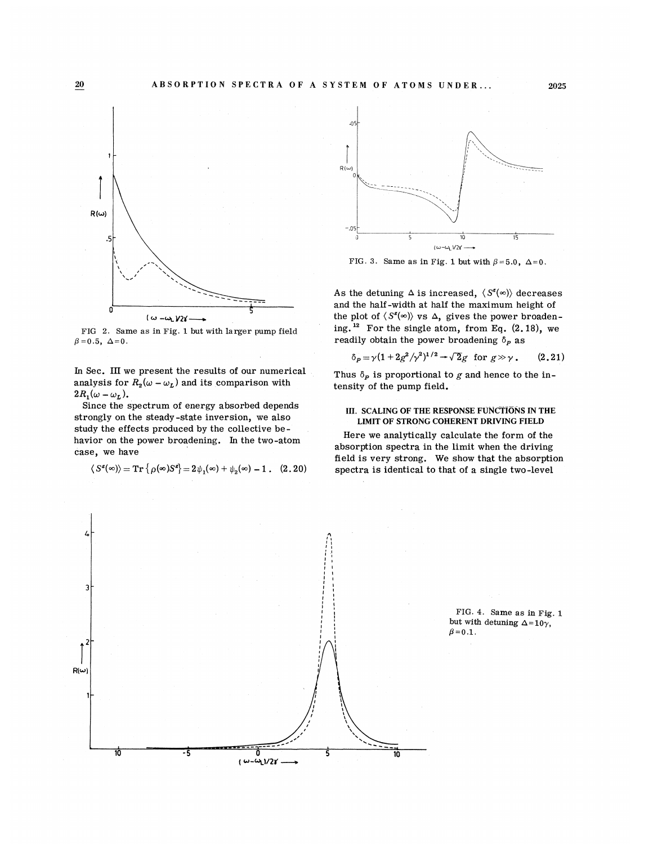

FIG 2. Same as in Fig. 1 but with larger pump field  $\beta = 0.5, ~\Delta = 0.$ 

In Sec. III we present the results of our numerical analysis for  $R_2(\omega - \omega_L)$  and its comparison with  $2R_{\scriptscriptstyle{1}}(\omega - \omega_{\scriptscriptstyle L})$ .

Since the spectrum of energy absorbed depends strongly on the steady-state inversion, we also study the effects produced by the collective behavior on the power broadening. In the two-atom case, we have

$$
\langle S^{\mathbf{z}}(\infty)\rangle = \mathrm{Tr}\left\{ \rho(\infty)S^{\mathbf{z}}\right\} = 2\,\psi_1(\infty) + \psi_2(\infty) - 1\;.\quad(2.20)
$$



FIG. 3. Same as in Fig. 1 but with  $\beta = 5.0$ ,  $\Delta = 0$ .

As the detuning  $\Delta$  is increased,  $\langle S^z(\infty) \rangle$  decreases and the half-width at half the maximum height of the plot of  $\langle S^z(\infty) \rangle$  vs  $\Delta$ , gives the power broaden<br>ing.<sup>12</sup> For the single atom, from Eq. (2,18), we ing. For the single atom, from Eq. (2. 18), we readily obtain the power broadening  $\delta_{p}$  as

$$
\delta_P = \gamma (1 + 2g^2/\gamma^2)^{1/2} \to \sqrt{2}g \text{ for } g \gg \gamma. \qquad (2.21)
$$

Thus  $\delta_{p}$  is proportional to g and hence to the intensity of the pump field.

## III. SCALING OF THE RESPONSE FUNCTIONS IN THE LIMIT OF STRONG COHERENT DRIVING FIELD

Here we analytically calculate the form of the absorption spectra in the limit when the driving field is very strong. We show that the absorption spectra is identical to that of a single two-level

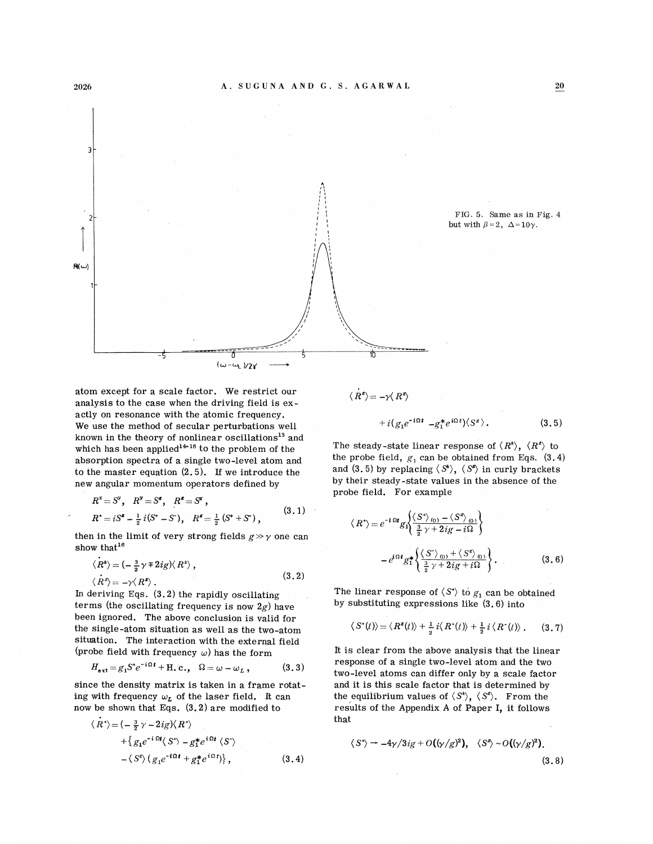

atom except for a scale factor. Ne restrict our analysis to the case when the driving field is  $ex$ actly on resonance with the atomic frequency. We use the method of secular perturbations well known in the theory of nonlinear oscillations<sup>13</sup> and known in the theory of nonlinear oscillations<sup>13</sup> a<br>which has been applied<sup>14-16</sup> to the problem of the absorption spectra of a single two-level atom and to the master equation (2. 5). If we introduce the new angular momentum operators defined by

$$
R^x = S^y, \quad R^y = S^z, \quad R^z = S^x,
$$
  
\n
$$
R^+ = iS^z - \frac{1}{2}i(S^+ - S^*), \quad R^z = \frac{1}{2}(S^+ + S^*)
$$
, (3.1)

then in the limit of very strong fields  $g \gg \gamma$  one can show that<sup>16</sup>

$$
\langle R^{\star} \rangle = (-\frac{3}{2}\gamma \mp 2ig) \langle R^{\star} \rangle ,
$$
  

$$
\langle R^{\zeta} \rangle = -\gamma \langle R^{\zeta} \rangle .
$$
 (3.2)

ln deriving Eqs. (3.2) the rapidly oscillating terms (the oscillating frequency is now  $2g$ ) have been ignored. The above conclusion is valid for the single-atom situation as well as the two-atom situation. The interaction with the external field

$$
\begin{aligned} \text{(probe field with frequency } \omega \text{) has the form} \\ H_{\text{ext}} &= g_1 S^* e^{-i\Omega t} + \text{H.c.,} \quad \Omega = \omega - \omega_L \,, \end{aligned} \tag{3.3}
$$

since the density matrix is taken in a frame rotating with frequency  $\omega_L$  of the laser field. It can now be shown that Eqs. (3.2) are modified to

$$
\langle \dot{R}^* \rangle = \langle -\frac{3}{2} \gamma - 2ig \rangle \langle R^* \rangle
$$
  
+ 
$$
\{ g_1 e^{-i \Omega t} \langle S^* \rangle - g_1^* e^{i \Omega t} \langle S^* \rangle
$$
  
- 
$$
\langle S^* \rangle (g_1 e^{-i \Omega t} + g_1^* e^{i \Omega t}) \}, \qquad (3.4)
$$

$$
\langle R^z \rangle = -\gamma \langle R^z \rangle
$$
  
+  $i(g_1 e^{-i\Omega t} - g_1^* e^{i\Omega t}) \langle S^z \rangle$ . (3.5)

The steady-state linear response of  $\langle R^2 \rangle$ ,  $\langle R^2 \rangle$  to the probe field,  $g_1$  can be obtained from Eqs. (3.4) and (3.5) by replacing  $\langle S^{\sharp} \rangle$ ,  $\langle S^{\sharp} \rangle$  in curly brackets by their steady-state values in the absence of the probe field. For example

$$
\langle R^* \rangle = e^{-i \Omega t} g_1 \left\{ \frac{\langle S^* \rangle_{(0)} - \langle S^* \rangle_{(0)}}{\frac{3}{2} \gamma + 2ig - i\Omega} \right\}
$$

$$
- e^{i \Omega t} g_1^* \left\{ \frac{\langle S^* \rangle_{(0)} + \langle S^* \rangle_{(0)}}{\frac{3}{2} \gamma + 2ig + i\Omega} \right\}.
$$
(3.6)

The linear response of  $\langle S^* \rangle$  to  $g_1$  can be obtained by substituting expressions like (3.6) into

$$
\langle S^*(t) \rangle = \langle R^*(t) \rangle + \frac{1}{2} i \langle R^*(t) \rangle + \frac{1}{2} i \langle R^*(t) \rangle. \qquad (3.7)
$$

It is clear from the above analysis that the linear response of a single two-level atom and the two two-level atoms can differ only by a scale factor and it is this scale factor that is determined by the equilibrium values of  $\langle S^{\sharp} \rangle$ ,  $\langle S^{\sharp} \rangle$ . From the results of the Appendix <sup>A</sup> of Paper I, it follows that

$$
\langle S^{\prime}\rangle = -4\gamma/3ig + O((\gamma/g)^{2}), \quad \langle S^{\prime}\rangle \sim O((\gamma/g)^{2}).
$$
\n(3.8)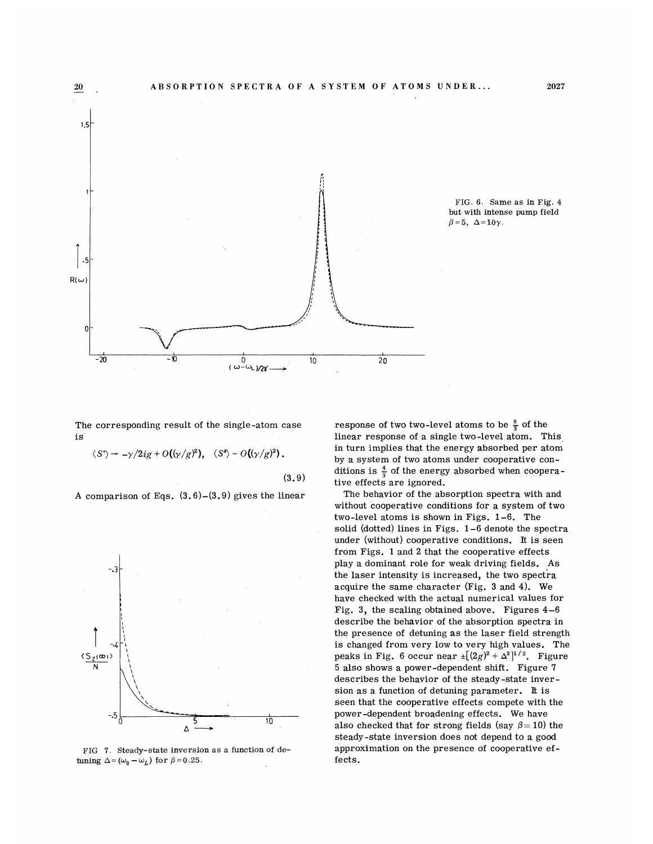

FIG. 6. Same as in Fig. 4 but with intense pump field  $\beta=5, \ \Delta=10\gamma$ .

The corresponding result of the single-atom case is

 $\langle S^*\rangle \rightarrow -\gamma/2ig+O((\gamma/g)^2), \quad \langle S^2\rangle \sim O((\gamma/g)^2)$ . (3.9}

A comparison of Eqs.  $(3.6)-(3.9)$  gives the linear



FIG 7. Steady-state inversion as a function of detuning  $\Delta = (\omega_0 - \omega_L)$  for  $\beta = 0.25$ .

response of two two-level atoms to be  $\frac{8}{7}$  of the linear response of a single two-level atom. This in turn implies that the energy absorbed per atom by a system of two atoms under cooperative conditions is  $\frac{4}{3}$  of the energy absorbed when cooperative effects are ignored.

The behavior of the absorption spectra with and without cooperative conditions for a system of two two-level atoms is shown in Figs. 1-6. The solid (dotted) lines in Figs. 1-6 denote the spectra under (without) cooperative conditions. It is seen from Figs. 1 and 2 that the cooperative effects play a dominant role for weak driving fields. As the laser intensity is increased, the two spectra acquire the same character (Fig. 3 and 4). We have checked with the actual numerical values for Fig. 3, the scaling obtained above. Figures 4-6 describe the behavior of the absorption spectra in the presence of detuning as the laser field strength is changed from very low to very high values. The peaks in Fig. 6 occur near  $\pm [(2g)^2 + \Delta^2]^{1/2}$ . Figure 5 also shows a power-dependent shift. Figure 7 describes the behavior of the steady-state inversion as a function of detuning parameter. It is seen that the cooperative effects compete with the power-dependent broadening effects. We have also checked that for strong fields (say  $\beta = 10$ ) the steady-state inversion does not depend to a good approximation on the presence of cooperative effects.